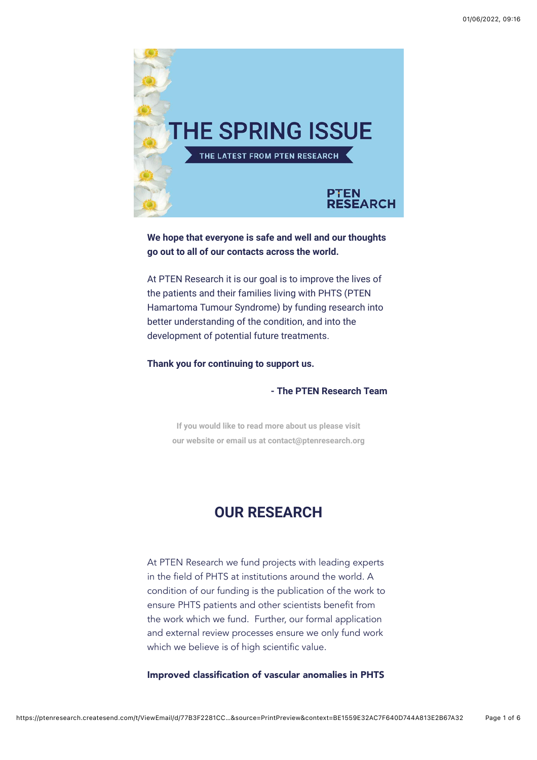

**We hope that everyone is safe and well and our thoughts go out to all of our contacts across the world.** 

At PTEN Research it is our goal is to improve the lives of the patients and their families living with PHTS (PTEN Hamartoma Tumour Syndrome) by funding research into better understanding of the condition, and into the development of potential future treatments.

**Thank you for continuing to support us.**

**- The PTEN Research Team**

**If you would like to read more about us please visit [our website or email us at contact@ptenresearch.org](https://ptenresearch.createsend1.com/t/d-l-fmlrtk-l-r/)**

# **OUR RESEARCH**

At PTEN Research we fund projects with leading experts in the field of PHTS at institutions around the world. A condition of our funding is the publication of the work to ensure PHTS patients and other scientists benefit from the work which we fund. Further, our formal application and external review processes ensure we only fund work which we believe is of high scientific value.

Improved classification of vascular anomalies in PHTS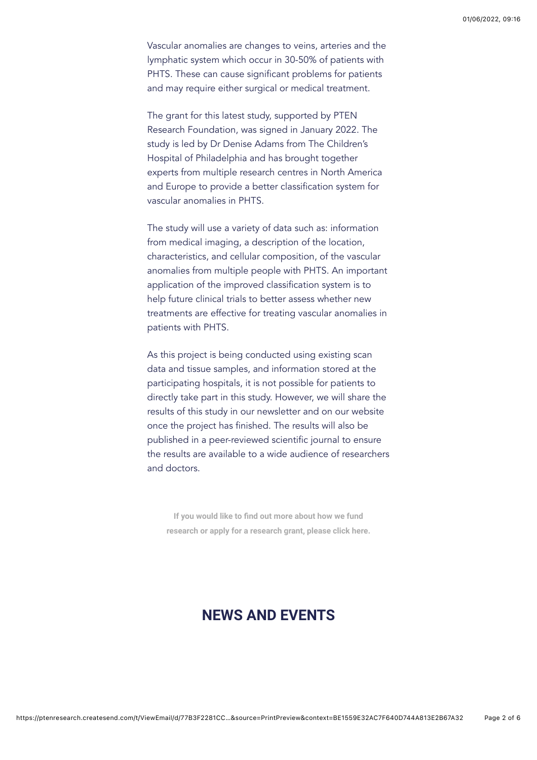Vascular anomalies are changes to veins, arteries and the lymphatic system which occur in 30-50% of patients with PHTS. These can cause significant problems for patients and may require either surgical or medical treatment.

The grant for this latest study, supported by PTEN Research Foundation, was signed in January 2022. The study is led by Dr Denise Adams from The Children's Hospital of Philadelphia and has brought together experts from multiple research centres in North America and Europe to provide a better classification system for vascular anomalies in PHTS.

The study will use a variety of data such as: information from medical imaging, a description of the location, characteristics, and cellular composition, of the vascular anomalies from multiple people with PHTS. An important application of the improved classification system is to help future clinical trials to better assess whether new treatments are effective for treating vascular anomalies in patients with PHTS.

As this project is being conducted using existing scan data and tissue samples, and information stored at the participating hospitals, it is not possible for patients to directly take part in this study. However, we will share the results of this study in our newsletter and on our website once the project has finished. The results will also be published in a peer-reviewed scientific journal to ensure the results are available to a wide audience of researchers and doctors.

If you would like to find out more about how we fund **[research or apply for a research grant, please click here.](https://ptenresearch.createsend1.com/t/d-l-fmlrtk-l-y/)**

# **NEWS AND EVENTS**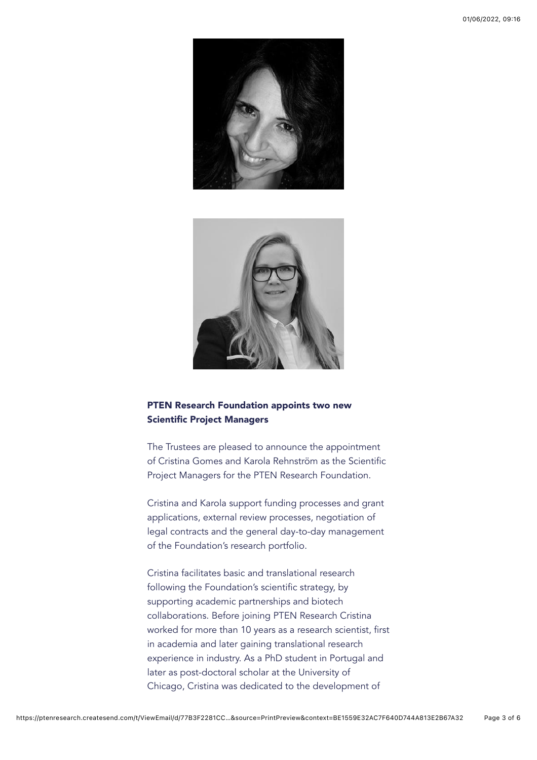



### PTEN Research Foundation appoints two new Scientific Project Managers

The Trustees are pleased to announce the appointment of Cristina Gomes and Karola Rehnström as the Scientific Project Managers for the PTEN Research Foundation.

Cristina and Karola support funding processes and grant applications, external review processes, negotiation of legal contracts and the general day-to-day management of the Foundation's research portfolio.

Cristina facilitates basic and translational research following the Foundation's scientific strategy, by supporting academic partnerships and biotech collaborations. Before joining PTEN Research Cristina worked for more than 10 years as a research scientist, first in academia and later gaining translational research experience in industry. As a PhD student in Portugal and later as post-doctoral scholar at the University of Chicago, Cristina was dedicated to the development of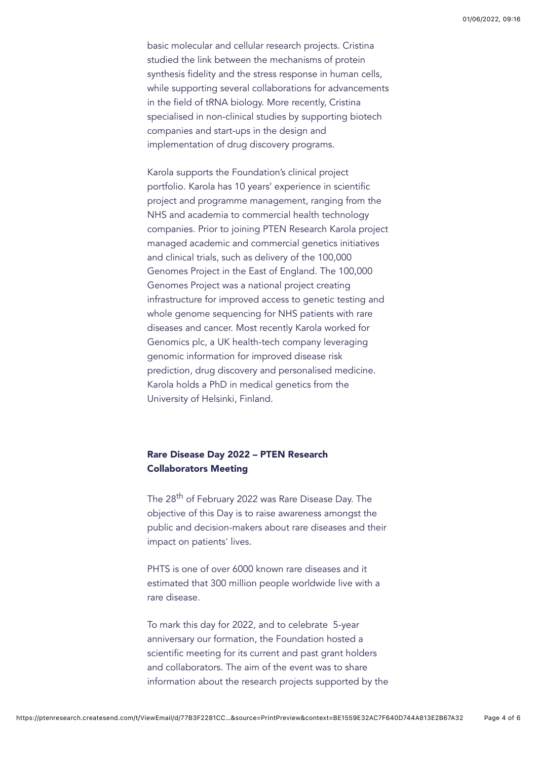basic molecular and cellular research projects. Cristina studied the link between the mechanisms of protein synthesis fidelity and the stress response in human cells, while supporting several collaborations for advancements in the field of tRNA biology. More recently, Cristina specialised in non-clinical studies by supporting biotech companies and start-ups in the design and implementation of drug discovery programs.

Karola supports the Foundation's clinical project portfolio. Karola has 10 years' experience in scientific project and programme management, ranging from the NHS and academia to commercial health technology companies. Prior to joining PTEN Research Karola project managed academic and commercial genetics initiatives and clinical trials, such as delivery of the 100,000 Genomes Project in the East of England. The 100,000 Genomes Project was a national project creating infrastructure for improved access to genetic testing and whole genome sequencing for NHS patients with rare diseases and cancer. Most recently Karola worked for Genomics plc, a UK health-tech company leveraging genomic information for improved disease risk prediction, drug discovery and personalised medicine. Karola holds a PhD in medical genetics from the University of Helsinki, Finland.

### Rare Disease Day 2022 – PTEN Research Collaborators Meeting

The 28th of February 2022 was Rare Disease Day. The objective of this Day is to raise awareness amongst the public and decision-makers about rare diseases and their impact on patients' lives.

PHTS is one of over 6000 known rare diseases and it estimated that 300 million people worldwide live with a rare disease.

To mark this day for 2022, and to celebrate 5-year anniversary our formation, the Foundation hosted a scientific meeting for its current and past grant holders and collaborators. The aim of the event was to share information about the research projects supported by the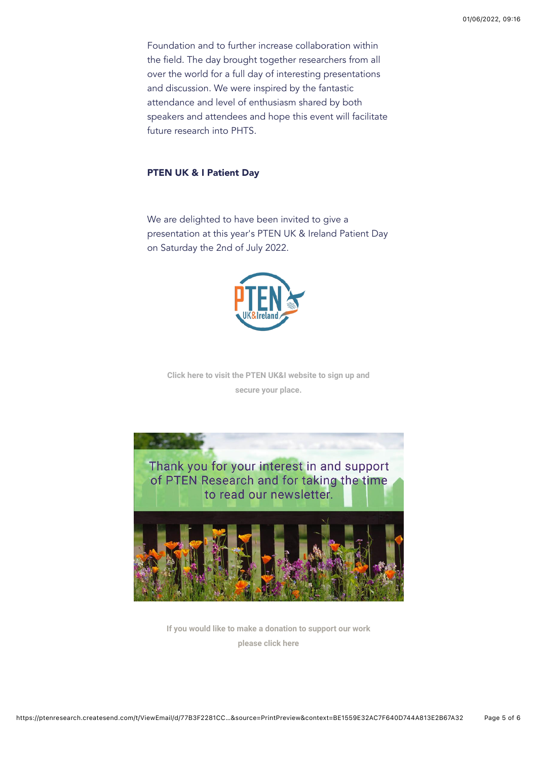Foundation and to further increase collaboration within the field. The day brought together researchers from all over the world for a full day of interesting presentations and discussion. We were inspired by the fantastic attendance and level of enthusiasm shared by both speakers and attendees and hope this event will facilitate future research into PHTS.

#### PTEN UK & I Patient Day

We are delighted to have been invited to give a presentation at this year's PTEN UK & Ireland Patient Day on Saturday the 2nd of July 2022.



**[Click here to visit the PTEN UK&I website to sign up and](https://ptenresearch.createsend1.com/t/d-l-fmlrtk-l-t/) secure your place.**



**[If you would like to make a donation to support our work](https://ptenresearch.createsend1.com/t/d-l-fmlrtk-l-i/) please click here**